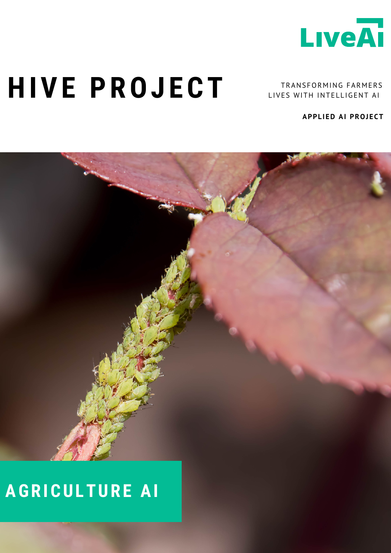

## **HIVE PROJECT**

TRANSFORMING FARMERS LIVES WITH INTELLIGENT AI

**APPLIED AI PROJECT**